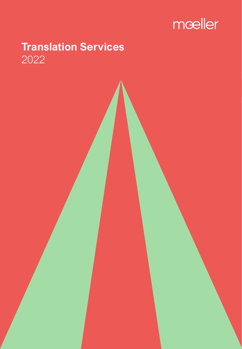

# **Translation Services** 2022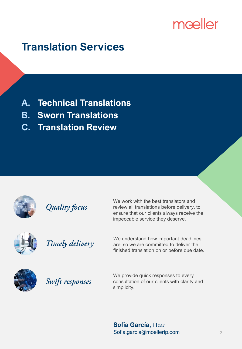# mœller

# **Translation Services**

- **A. Technical Translations**
- **B. Sworn Translations**
- **C. Translation Review**



**Quality focus** 

We work with the best translators and review all translations before delivery, to ensure that our clients always receive the impeccable service they deserve.



Timely delivery

We understand how important deadlines are, so we are committed to deliver the finished translation on or before due date.



Swift responses

We provide quick responses to every consultation of our clients with clarity and simplicity.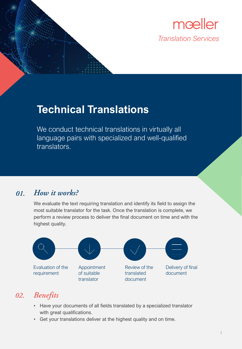

# **Technical Translations**

We conduct technical translations in virtually all language pairs with specialized and well-qualified translators.

#### How it works? 01.

We evaluate the text requiring translation and identify its field to assign the most suitable translator for the task. Once the translation is complete, we perform a review process to deliver the final document on time and with the highest quality.



## 02. Benefits

- Have your documents of all fields translated by a specialized translator with great qualifications.
- Get your translations deliver at the highest quality and on time.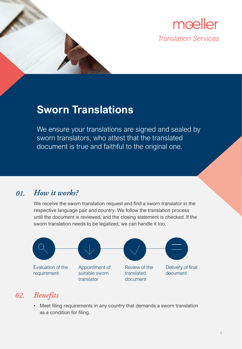

## **Sworn Translations**

We ensure your translations are signed and sealed by sworn translators, who attest that the translated document is true and faithful to the original one.

#### How it works? 01.

We receive the sworn translation request and find a sworn translator in the respective language pair and country. We follow the translation process until the document is reviewed, and the closing statement is checked. If the sworn translation needs to be legalized, we can handle it too.



### 02. Benefits

• Meet filing requirements in any country that demands a sworn translation as a condition for filing.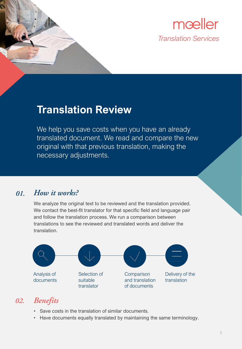

## **Translation Review**

We help you save costs when you have an already translated document. We read and compare the new original with that previous translation, making the necessary adjustments.

#### How it works? 01.

We analyze the original text to be reviewed and the translation provided. We contact the best-fit translator for that specific field and language pair and follow the translation process. We run a comparison between translations to see the reviewed and translated words and deliver the translation.



### 02. Benefits

- Save costs in the translation of similar documents.
- Have documents equally translated by maintaining the same terminology.